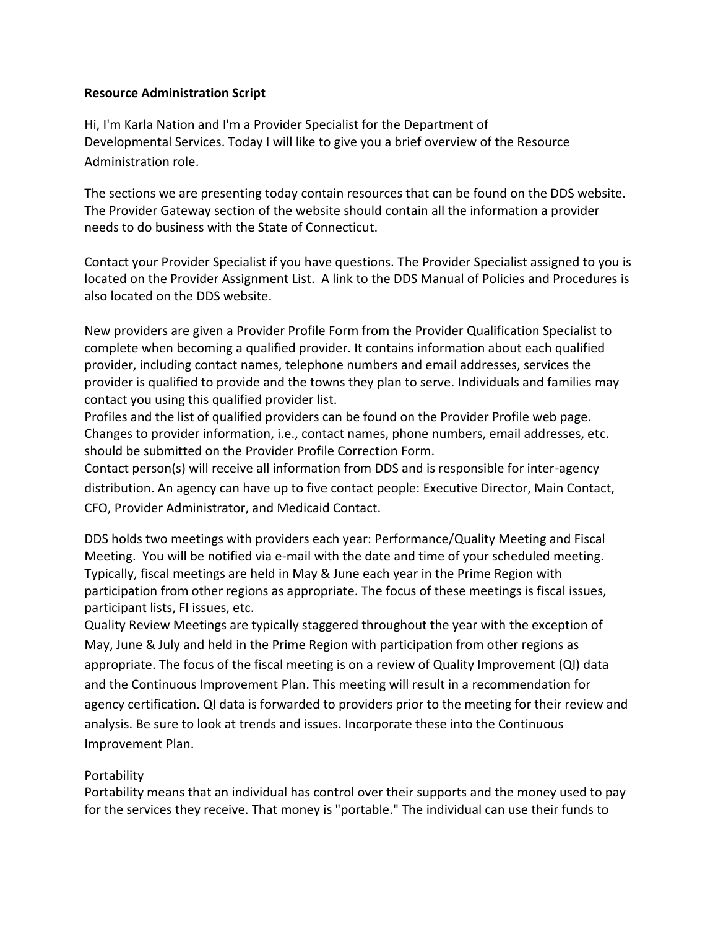## **Resource Administration Script**

Hi, I'm Karla Nation and I'm a Provider Specialist for the Department of Developmental Services. Today I will like to give you a brief overview of the Resource Administration role.

The sections we are presenting today contain resources that can be found on the DDS website. The Provider Gateway section of the website should contain all the information a provider needs to do business with the State of Connecticut.

Contact your Provider Specialist if you have questions. The Provider Specialist assigned to you is located on the Provider Assignment List. A link to the DDS Manual of Policies and Procedures is also located on the DDS website.

New providers are given a Provider Profile Form from the Provider Qualification Specialist to complete when becoming a qualified provider. It contains information about each qualified provider, including contact names, telephone numbers and email addresses, services the provider is qualified to provide and the towns they plan to serve. Individuals and families may contact you using this qualified provider list.

Profiles and the list of qualified providers can be found on the Provider Profile web page. Changes to provider information, i.e., contact names, phone numbers, email addresses, etc. should be submitted on the Provider Profile Correction Form.

Contact person(s) will receive all information from DDS and is responsible for inter-agency distribution. An agency can have up to five contact people: Executive Director, Main Contact, CFO, Provider Administrator, and Medicaid Contact.

DDS holds two meetings with providers each year: Performance/Quality Meeting and Fiscal Meeting. You will be notified via e-mail with the date and time of your scheduled meeting. Typically, fiscal meetings are held in May & June each year in the Prime Region with participation from other regions as appropriate. The focus of these meetings is fiscal issues, participant lists, FI issues, etc.

Quality Review Meetings are typically staggered throughout the year with the exception of May, June & July and held in the Prime Region with participation from other regions as appropriate. The focus of the fiscal meeting is on a review of Quality Improvement (QI) data and the Continuous Improvement Plan. This meeting will result in a recommendation for agency certification. QI data is forwarded to providers prior to the meeting for their review and analysis. Be sure to look at trends and issues. Incorporate these into the Continuous Improvement Plan.

## Portability

Portability means that an individual has control over their supports and the money used to pay for the services they receive. That money is "portable." The individual can use their funds to